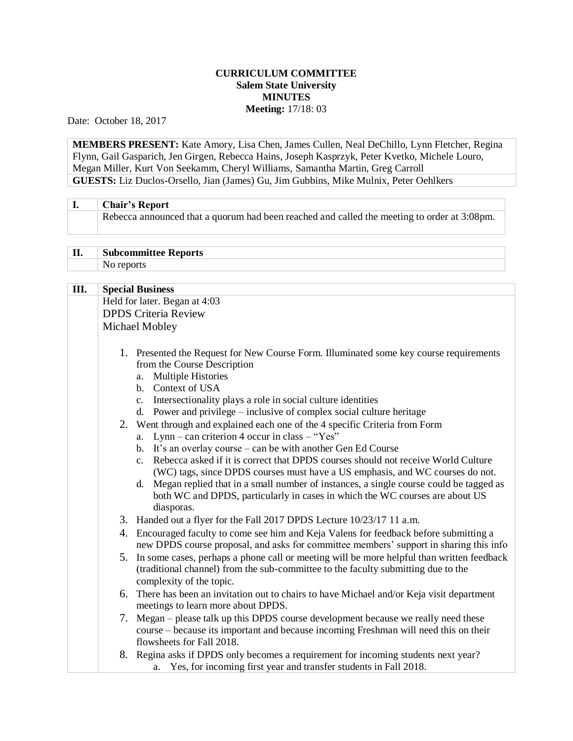## **CURRICULUM COMMITTEE Salem State University MINUTES Meeting:** 17/18: 03

Date: October 18, 2017

**MEMBERS PRESENT:** Kate Amory, Lisa Chen, James Cullen, Neal DeChillo, Lynn Fletcher, Regina Flynn, Gail Gasparich, Jen Girgen, Rebecca Hains, Joseph Kasprzyk, Peter Kvetko, Michele Louro, Megan Miller, Kurt Von Seekamm, Cheryl Williams, Samantha Martin, Greg Carroll **GUESTS:** Liz Duclos-Orsello, Jian (James) Gu, Jim Gubbins, Mike Mulnix, Peter Oehlkers

| <b>Chair's Report</b>                                                                       |
|---------------------------------------------------------------------------------------------|
| Rebecca announced that a quorum had been reached and called the meeting to order at 3:08pm. |

## **II. Subcommittee Reports** No reports

| III. | <b>Special Business</b>                                                                                                                                                                                                                                                    |
|------|----------------------------------------------------------------------------------------------------------------------------------------------------------------------------------------------------------------------------------------------------------------------------|
|      | Held for later. Began at 4:03                                                                                                                                                                                                                                              |
|      | <b>DPDS Criteria Review</b>                                                                                                                                                                                                                                                |
|      | Michael Mobley                                                                                                                                                                                                                                                             |
|      |                                                                                                                                                                                                                                                                            |
|      | 1. Presented the Request for New Course Form. Illuminated some key course requirements<br>from the Course Description<br><b>Multiple Histories</b><br>a.<br>b. Context of USA                                                                                              |
|      | c. Intersectionality plays a role in social culture identities                                                                                                                                                                                                             |
|      | d. Power and privilege – inclusive of complex social culture heritage                                                                                                                                                                                                      |
|      | 2. Went through and explained each one of the 4 specific Criteria from Form                                                                                                                                                                                                |
|      | a. Lynn – can criterion 4 occur in class – "Yes"                                                                                                                                                                                                                           |
|      | b. It's an overlay course – can be with another Gen Ed Course                                                                                                                                                                                                              |
|      | c. Rebecca asked if it is correct that DPDS courses should not receive World Culture                                                                                                                                                                                       |
|      | (WC) tags, since DPDS courses must have a US emphasis, and WC courses do not.<br>Megan replied that in a small number of instances, a single course could be tagged as<br>d.<br>both WC and DPDS, particularly in cases in which the WC courses are about US<br>diasporas. |
|      | 3. Handed out a flyer for the Fall 2017 DPDS Lecture 10/23/17 11 a.m.                                                                                                                                                                                                      |
|      | 4. Encouraged faculty to come see him and Keja Valens for feedback before submitting a<br>new DPDS course proposal, and asks for committee members' support in sharing this info                                                                                           |
|      | 5. In some cases, perhaps a phone call or meeting will be more helpful than written feedback<br>(traditional channel) from the sub-committee to the faculty submitting due to the<br>complexity of the topic.                                                              |
|      | 6. There has been an invitation out to chairs to have Michael and/or Keja visit department<br>meetings to learn more about DPDS.                                                                                                                                           |
|      | 7. Megan – please talk up this DPDS course development because we really need these<br>course – because its important and because incoming Freshman will need this on their<br>flowsheets for Fall 2018.                                                                   |
|      | 8. Regina asks if DPDS only becomes a requirement for incoming students next year?<br>a. Yes, for incoming first year and transfer students in Fall 2018.                                                                                                                  |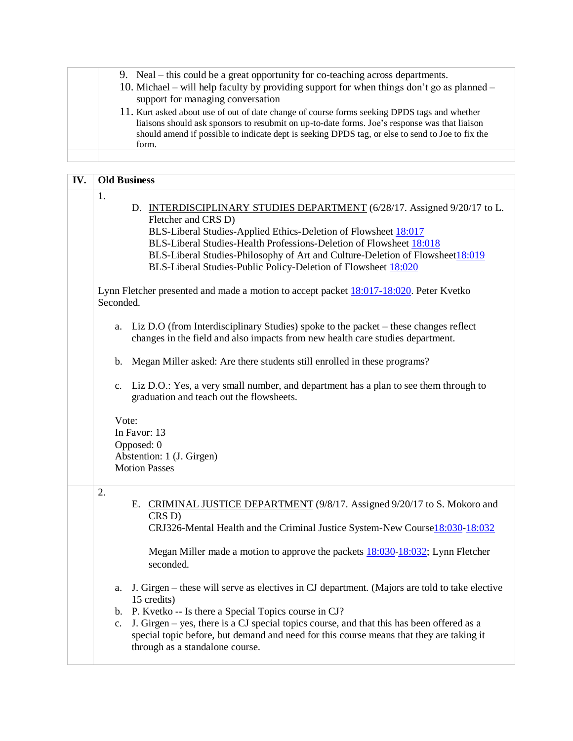|  | 9. Neal – this could be a great opportunity for co-teaching across departments.                                                                                                               |
|--|-----------------------------------------------------------------------------------------------------------------------------------------------------------------------------------------------|
|  | 10. Michael – will help faculty by providing support for when things don't go as planned –                                                                                                    |
|  | support for managing conversation                                                                                                                                                             |
|  | 11. Kurt asked about use of out of date change of course forms seeking DPDS tags and whether<br>liaisons should ask sponsors to resubmit on up-to-date forms. Joe's response was that liaison |
|  | should amend if possible to indicate dept is seeking DPDS tag, or else to send to Joe to fix the<br>form.                                                                                     |
|  |                                                                                                                                                                                               |

| IV. | <b>Old Business</b>                                                                                                                                                                                                                                                                                                                                                                                         |
|-----|-------------------------------------------------------------------------------------------------------------------------------------------------------------------------------------------------------------------------------------------------------------------------------------------------------------------------------------------------------------------------------------------------------------|
|     | 1.<br>D. INTERDISCIPLINARY STUDIES DEPARTMENT (6/28/17. Assigned 9/20/17 to L.<br>Fletcher and CRS D)<br>BLS-Liberal Studies-Applied Ethics-Deletion of Flowsheet 18:017<br>BLS-Liberal Studies-Health Professions-Deletion of Flowsheet 18:018<br>BLS-Liberal Studies-Philosophy of Art and Culture-Deletion of Flowsheet 18:019<br>BLS-Liberal Studies-Public Policy-Deletion of Flowsheet 18:020         |
|     | Lynn Fletcher presented and made a motion to accept packet 18:017-18:020. Peter Kvetko<br>Seconded.                                                                                                                                                                                                                                                                                                         |
|     | Liz D.O (from Interdisciplinary Studies) spoke to the packet – these changes reflect<br>a.<br>changes in the field and also impacts from new health care studies department.                                                                                                                                                                                                                                |
|     | Megan Miller asked: Are there students still enrolled in these programs?<br>b.                                                                                                                                                                                                                                                                                                                              |
|     | c. Liz D.O.: Yes, a very small number, and department has a plan to see them through to<br>graduation and teach out the flowsheets.                                                                                                                                                                                                                                                                         |
|     | Vote:<br>In Favor: 13<br>Opposed: 0<br>Abstention: 1 (J. Girgen)<br><b>Motion Passes</b>                                                                                                                                                                                                                                                                                                                    |
|     | 2.<br>E. CRIMINAL JUSTICE DEPARTMENT (9/8/17. Assigned 9/20/17 to S. Mokoro and<br>CRS D)<br>CRJ326-Mental Health and the Criminal Justice System-New Course 18:030-18:032                                                                                                                                                                                                                                  |
|     | Megan Miller made a motion to approve the packets $18:030-18:032$ ; Lynn Fletcher<br>seconded.                                                                                                                                                                                                                                                                                                              |
|     | a. J. Girgen – these will serve as electives in CJ department. (Majors are told to take elective<br>15 credits)<br>b. P. Kvetko -- Is there a Special Topics course in CJ?<br>J. Girgen - yes, there is a CJ special topics course, and that this has been offered as a<br>c.<br>special topic before, but demand and need for this course means that they are taking it<br>through as a standalone course. |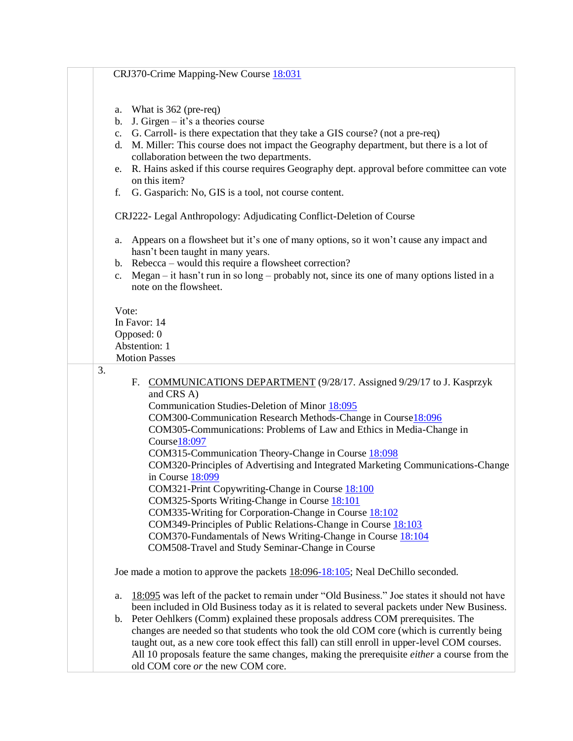| CRJ370-Crime Mapping-New Course 18:031                                                                                                                                                                                                                                                                                                                                                                                                                                                                                                                                                                                                                                                                                                                                                                                |
|-----------------------------------------------------------------------------------------------------------------------------------------------------------------------------------------------------------------------------------------------------------------------------------------------------------------------------------------------------------------------------------------------------------------------------------------------------------------------------------------------------------------------------------------------------------------------------------------------------------------------------------------------------------------------------------------------------------------------------------------------------------------------------------------------------------------------|
| a. What is $362$ (pre-req)<br>J. Girgen $-$ it's a theories course<br>b.<br>G. Carroll- is there expectation that they take a GIS course? (not a pre-req)<br>c.<br>M. Miller: This course does not impact the Geography department, but there is a lot of<br>d.<br>collaboration between the two departments.<br>R. Hains asked if this course requires Geography dept. approval before committee can vote<br>e.<br>on this item?<br>G. Gasparich: No, GIS is a tool, not course content.<br>f.                                                                                                                                                                                                                                                                                                                       |
| CRJ222- Legal Anthropology: Adjudicating Conflict-Deletion of Course                                                                                                                                                                                                                                                                                                                                                                                                                                                                                                                                                                                                                                                                                                                                                  |
| Appears on a flowsheet but it's one of many options, so it won't cause any impact and<br>a.<br>hasn't been taught in many years.<br>b. Rebecca – would this require a flowsheet correction?<br>Megan – it hasn't run in so long – probably not, since its one of many options listed in a<br>c.<br>note on the flowsheet.                                                                                                                                                                                                                                                                                                                                                                                                                                                                                             |
| Vote:<br>In Favor: 14<br>Opposed: 0<br>Abstention: 1<br><b>Motion Passes</b>                                                                                                                                                                                                                                                                                                                                                                                                                                                                                                                                                                                                                                                                                                                                          |
| 3.<br>F. COMMUNICATIONS DEPARTMENT (9/28/17. Assigned 9/29/17 to J. Kasprzyk<br>and CRS A)<br>Communication Studies-Deletion of Minor 18:095<br>COM300-Communication Research Methods-Change in Course18:096<br>COM305-Communications: Problems of Law and Ethics in Media-Change in<br>Course18:097<br>COM315-Communication Theory-Change in Course 18:098<br>COM320-Principles of Advertising and Integrated Marketing Communications-Change<br>in Course 18:099<br>COM321-Print Copywriting-Change in Course 18:100<br>COM325-Sports Writing-Change in Course 18:101<br>COM335-Writing for Corporation-Change in Course 18:102<br>COM349-Principles of Public Relations-Change in Course 18:103<br>COM370-Fundamentals of News Writing-Change in Course 18:104<br>COM508-Travel and Study Seminar-Change in Course |
| Joe made a motion to approve the packets 18:096-18:105; Neal DeChillo seconded.                                                                                                                                                                                                                                                                                                                                                                                                                                                                                                                                                                                                                                                                                                                                       |
| 18:095 was left of the packet to remain under "Old Business." Joe states it should not have<br>a.<br>been included in Old Business today as it is related to several packets under New Business.<br>Peter Oehlkers (Comm) explained these proposals address COM prerequisites. The<br>$b_{1}$<br>changes are needed so that students who took the old COM core (which is currently being<br>taught out, as a new core took effect this fall) can still enroll in upper-level COM courses.<br>All 10 proposals feature the same changes, making the prerequisite <i>either</i> a course from the<br>old COM core or the new COM core.                                                                                                                                                                                  |